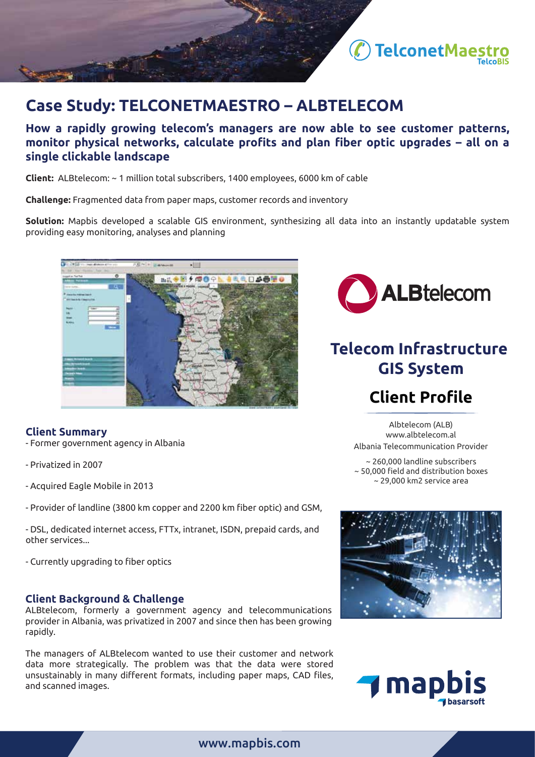

## **Case Study: TELCONETMAESTRO – ALBTELECOM**

**How a rapidly growing telecom's managers are now able to see customer patterns, monitor physical networks, calculate profits and plan fiber optic upgrades – all on a single clickable landscape**

**Client:** ALBtelecom: ~ 1 million total subscribers, 1400 employees, 6000 km of cable

**Challenge:** Fragmented data from paper maps, customer records and inventory

**Solution:** Mapbis developed a scalable GIS environment, synthesizing all data into an instantly updatable system providing easy monitoring, analyses and planning



## **Client Summary**

- Former government agency in Albania
- Privatized in 2007
- Acquired Eagle Mobile in 2013
- Provider of landline (3800 km copper and 2200 km fiber optic) and GSM,
- DSL, dedicated internet access, FTTx, intranet, ISDN, prepaid cards, and other services...
- Currently upgrading to fiber optics

## **Client Background & Challenge**

ALBtelecom, formerly a government agency and telecommunications provider in Albania, was privatized in 2007 and since then has been growing rapidly.

The managers of ALBtelecom wanted to use their customer and network data more strategically. The problem was that the data were stored unsustainably in many different formats, including paper maps, CAD files, and scanned images.



# **Telecom Infrastructure GIS System**

## **Client Profile**

Albtelecom (ALB) www.albtelecom.al Albania Telecommunication Provider

~ 260,000 landline subscribers ~ 50,000 field and distribution boxes ~ 29,000 km2 service area





## www.mapbis.com